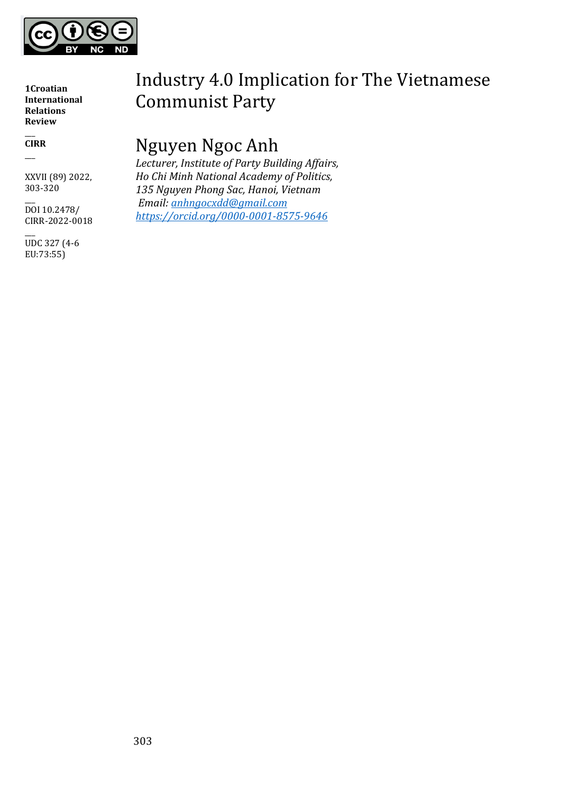

 $\overline{\phantom{a}}$ **CIRR**  $\overline{\phantom{a}}$ 

XXVII (89) 2022, 303-320

 $\overline{\phantom{a}}$ DOI 10.2478/ CIRR-2022-0018

 $\overline{\phantom{a}}$ UDC 327 (4-6 EU:73:55)

# Industry 4.0 Implication for The Vietnamese Communist Party

# Nguyen Ngoc Anh

*Lecturer, Institute of Party Building Affairs, Ho Chi Minh National Academy of Politics, 135 Nguyen Phong Sac, Hanoi, Vietnam Email: [anhngocxdd@gmail.com](mailto:anhngocxdd@gmail.com) <https://orcid.org/0000-0001-8575-9646>*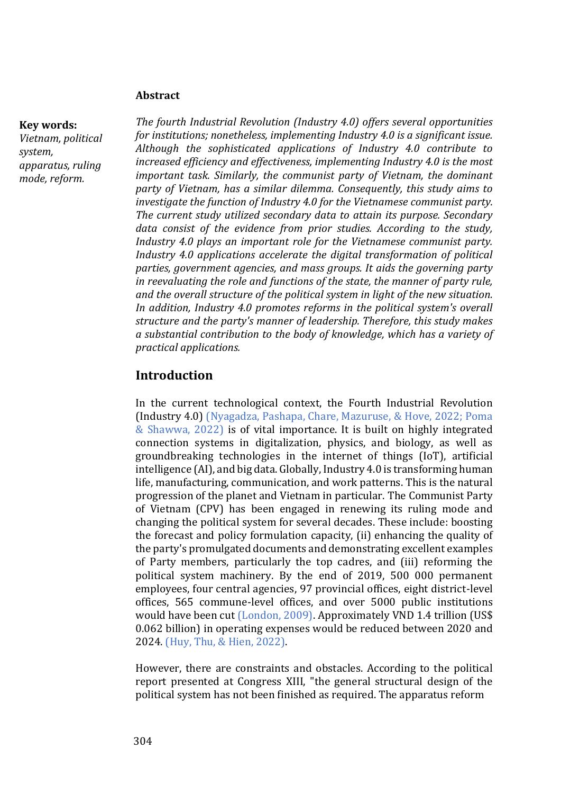#### **Abstract**

#### **Key words:**

*Vietnam, political system, apparatus, ruling mode, reform.*

*The fourth Industrial Revolution (Industry 4.0) offers several opportunities for institutions; nonetheless, implementing Industry 4.0 is a significant issue. Although the sophisticated applications of Industry 4.0 contribute to increased efficiency and effectiveness, implementing Industry 4.0 is the most important task. Similarly, the communist party of Vietnam, the dominant party of Vietnam, has a similar dilemma. Consequently, this study aims to investigate the function of Industry 4.0 for the Vietnamese communist party. The current study utilized secondary data to attain its purpose. Secondary data consist of the evidence from prior studies. According to the study, Industry 4.0 plays an important role for the Vietnamese communist party. Industry 4.0 applications accelerate the digital transformation of political parties, government agencies, and mass groups. It aids the governing party in reevaluating the role and functions of the state, the manner of party rule, and the overall structure of the political system in light of the new situation. In addition, Industry 4.0 promotes reforms in the political system's overall structure and the party's manner of leadership. Therefore, this study makes a substantial contribution to the body of knowledge, which has a variety of practical applications.*

## **Introduction**

In the current technological context, the Fourth Industrial Revolution (Industry 4.0) (Nyagadza, Pashapa, Chare, Mazuruse, & Hove, 2022; Poma & Shawwa, 2022) is of vital importance. It is built on highly integrated connection systems in digitalization, physics, and biology, as well as groundbreaking technologies in the internet of things (IoT), artificial intelligence (AI), and big data. Globally, Industry 4.0 is transforming human life, manufacturing, communication, and work patterns. This is the natural progression of the planet and Vietnam in particular. The Communist Party of Vietnam (CPV) has been engaged in renewing its ruling mode and changing the political system for several decades. These include: boosting the forecast and policy formulation capacity, (ii) enhancing the quality of the party's promulgated documents and demonstrating excellent examples of Party members, particularly the top cadres, and (iii) reforming the political system machinery. By the end of 2019, 500 000 permanent employees, four central agencies, 97 provincial offices, eight district-level offices, 565 commune-level offices, and over 5000 public institutions would have been cut (London, 2009). Approximately VND 1.4 trillion (US\$ 0.062 billion) in operating expenses would be reduced between 2020 and 2024. (Huy, Thu, & Hien, 2022).

However, there are constraints and obstacles. According to the political report presented at Congress XIII, "the general structural design of the political system has not been finished as required. The apparatus reform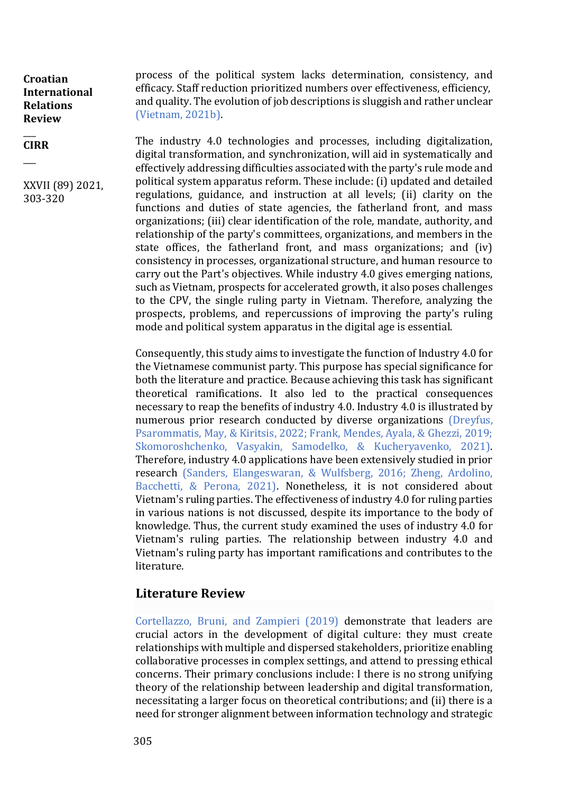$\overline{\phantom{a}}$ **CIRR**

 $\overline{\phantom{a}}$ 

XXVII (89) 2021, 303-320

process of the political system lacks determination, consistency, and efficacy. Staff reduction prioritized numbers over effectiveness, efficiency, and quality. The evolution of job descriptions is sluggish and rather unclear (Vietnam, 2021b).

The industry 4.0 technologies and processes, including digitalization, digital transformation, and synchronization, will aid in systematically and effectively addressing difficulties associated with the party's rule mode and political system apparatus reform. These include: (i) updated and detailed regulations, guidance, and instruction at all levels; (ii) clarity on the functions and duties of state agencies, the fatherland front, and mass organizations; (iii) clear identification of the role, mandate, authority, and relationship of the party's committees, organizations, and members in the state offices, the fatherland front, and mass organizations; and (iv) consistency in processes, organizational structure, and human resource to carry out the Part's objectives. While industry 4.0 gives emerging nations, such as Vietnam, prospects for accelerated growth, it also poses challenges to the CPV, the single ruling party in Vietnam. Therefore, analyzing the prospects, problems, and repercussions of improving the party's ruling mode and political system apparatus in the digital age is essential.

Consequently, this study aims to investigate the function of Industry 4.0 for the Vietnamese communist party. This purpose has special significance for both the literature and practice. Because achieving this task has significant theoretical ramifications. It also led to the practical consequences necessary to reap the benefits of industry 4.0. Industry 4.0 is illustrated by numerous prior research conducted by diverse organizations (Dreyfus, Psarommatis, May, & Kiritsis, 2022; Frank, Mendes, Ayala, & Ghezzi, 2019; Skomoroshchenko, Vasyakin, Samodelko, & Kucheryavenko, 2021). Therefore, industry 4.0 applications have been extensively studied in prior research (Sanders, Elangeswaran, & Wulfsberg, 2016; Zheng, Ardolino, Bacchetti, & Perona, 2021). Nonetheless, it is not considered about Vietnam's ruling parties. The effectiveness of industry 4.0 for ruling parties in various nations is not discussed, despite its importance to the body of knowledge. Thus, the current study examined the uses of industry 4.0 for Vietnam's ruling parties. The relationship between industry 4.0 and Vietnam's ruling party has important ramifications and contributes to the literature.

# **Literature Review**

Cortellazzo, Bruni, and Zampieri (2019) demonstrate that leaders are crucial actors in the development of digital culture: they must create relationships with multiple and dispersed stakeholders, prioritize enabling collaborative processes in complex settings, and attend to pressing ethical concerns. Their primary conclusions include: I there is no strong unifying theory of the relationship between leadership and digital transformation, necessitating a larger focus on theoretical contributions; and (ii) there is a need for stronger alignment between information technology and strategic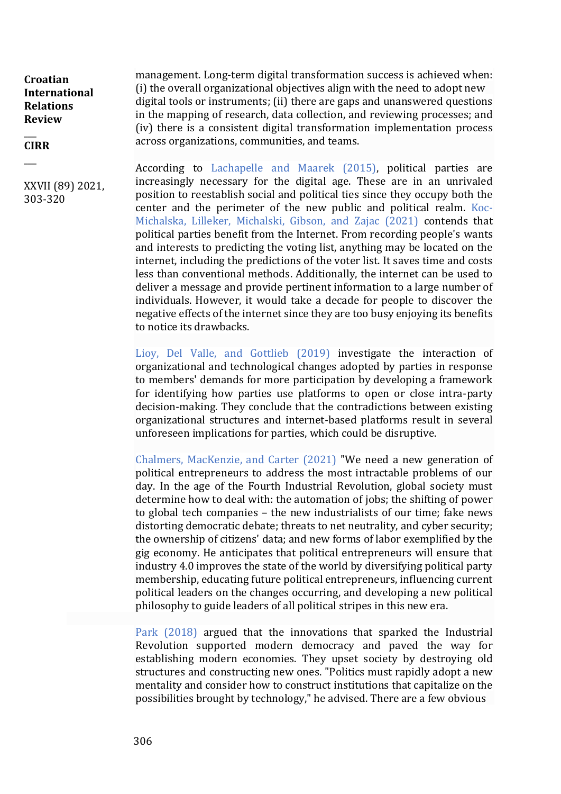#### $\overline{\phantom{a}}$ **CIRR**

 $\overline{\phantom{a}}$ 

XXVII (89) 2021, 303-320

management. Long-term digital transformation success is achieved when: (i) the overall organizational objectives align with the need to adopt new digital tools or instruments; (ii) there are gaps and unanswered questions in the mapping of research, data collection, and reviewing processes; and (iv) there is a consistent digital transformation implementation process across organizations, communities, and teams.

According to Lachapelle and Maarek (2015), political parties are increasingly necessary for the digital age. These are in an unrivaled position to reestablish social and political ties since they occupy both the center and the perimeter of the new public and political realm. Koc-Michalska, Lilleker, Michalski, Gibson, and Zajac (2021) contends that political parties benefit from the Internet. From recording people's wants and interests to predicting the voting list, anything may be located on the internet, including the predictions of the voter list. It saves time and costs less than conventional methods. Additionally, the internet can be used to deliver a message and provide pertinent information to a large number of individuals. However, it would take a decade for people to discover the negative effects of the internet since they are too busy enjoying its benefits to notice its drawbacks.

Lioy, Del Valle, and Gottlieb (2019) investigate the interaction of organizational and technological changes adopted by parties in response to members' demands for more participation by developing a framework for identifying how parties use platforms to open or close intra-party decision-making. They conclude that the contradictions between existing organizational structures and internet-based platforms result in several unforeseen implications for parties, which could be disruptive.

Chalmers, MacKenzie, and Carter (2021) "We need a new generation of political entrepreneurs to address the most intractable problems of our day. In the age of the Fourth Industrial Revolution, global society must determine how to deal with: the automation of jobs; the shifting of power to global tech companies – the new industrialists of our time; fake news distorting democratic debate; threats to net neutrality, and cyber security; the ownership of citizens' data; and new forms of labor exemplified by the gig economy. He anticipates that political entrepreneurs will ensure that industry 4.0 improves the state of the world by diversifying political party membership, educating future political entrepreneurs, influencing current political leaders on the changes occurring, and developing a new political philosophy to guide leaders of all political stripes in this new era.

Park (2018) argued that the innovations that sparked the Industrial Revolution supported modern democracy and paved the way for establishing modern economies. They upset society by destroying old structures and constructing new ones. "Politics must rapidly adopt a new mentality and consider how to construct institutions that capitalize on the possibilities brought by technology," he advised. There are a few obvious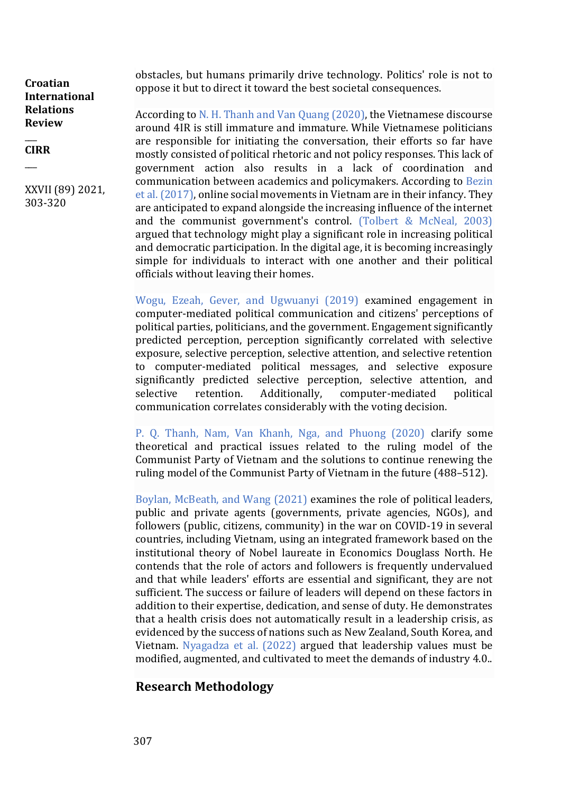#### $\overline{\phantom{a}}$ **CIRR**  $\overline{\phantom{a}}$

XXVII (89) 2021, 303-320

obstacles, but humans primarily drive technology. Politics' role is not to oppose it but to direct it toward the best societal consequences.

According to N. H. Thanh and Van Quang (2020), the Vietnamese discourse around 4IR is still immature and immature. While Vietnamese politicians are responsible for initiating the conversation, their efforts so far have mostly consisted of political rhetoric and not policy responses. This lack of government action also results in a lack of coordination and communication between academics and policymakers. According to Bezin et al. (2017), online social movements in Vietnam are in their infancy. They are anticipated to expand alongside the increasing influence of the internet and the communist government's control. (Tolbert & McNeal, 2003) argued that technology might play a significant role in increasing political and democratic participation. In the digital age, it is becoming increasingly simple for individuals to interact with one another and their political officials without leaving their homes.

Wogu, Ezeah, Gever, and Ugwuanyi (2019) examined engagement in computer-mediated political communication and citizens' perceptions of political parties, politicians, and the government. Engagement significantly predicted perception, perception significantly correlated with selective exposure, selective perception, selective attention, and selective retention to computer-mediated political messages, and selective exposure significantly predicted selective perception, selective attention, and selective retention. Additionally, computer-mediated political communication correlates considerably with the voting decision.

P. Q. Thanh, Nam, Van Khanh, Nga, and Phuong (2020) clarify some theoretical and practical issues related to the ruling model of the Communist Party of Vietnam and the solutions to continue renewing the ruling model of the Communist Party of Vietnam in the future (488–512).

Boylan, McBeath, and Wang (2021) examines the role of political leaders, public and private agents (governments, private agencies, NGOs), and followers (public, citizens, community) in the war on COVID-19 in several countries, including Vietnam, using an integrated framework based on the institutional theory of Nobel laureate in Economics Douglass North. He contends that the role of actors and followers is frequently undervalued and that while leaders' efforts are essential and significant, they are not sufficient. The success or failure of leaders will depend on these factors in addition to their expertise, dedication, and sense of duty. He demonstrates that a health crisis does not automatically result in a leadership crisis, as evidenced by the success of nations such as New Zealand, South Korea, and Vietnam. Nyagadza et al. (2022) argued that leadership values must be modified, augmented, and cultivated to meet the demands of industry 4.0..

# **Research Methodology**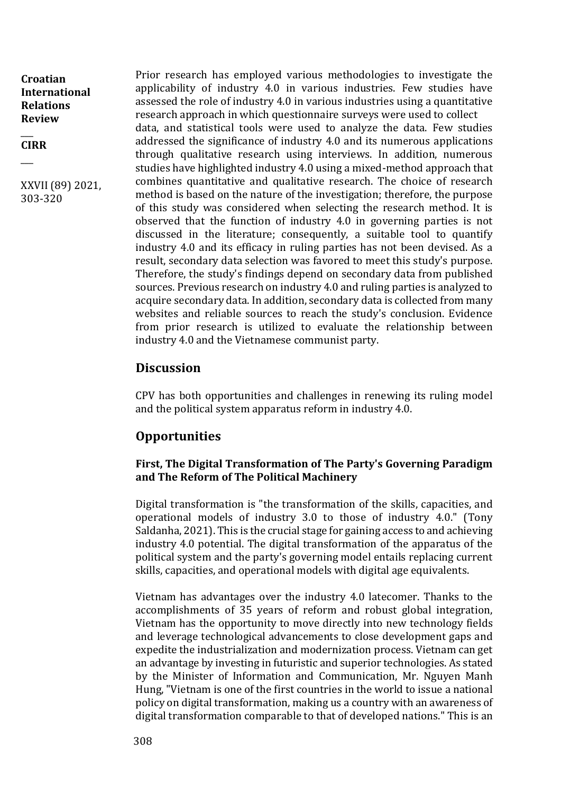#### \_\_\_ **CIRR**

\_\_\_

XXVII (89) 2021, 303-320

Prior research has employed various methodologies to investigate the applicability of industry 4.0 in various industries. Few studies have assessed the role of industry 4.0 in various industries using a quantitative research approach in which questionnaire surveys were used to collect data, and statistical tools were used to analyze the data. Few studies addressed the significance of industry 4.0 and its numerous applications through qualitative research using interviews. In addition, numerous studies have highlighted industry 4.0 using a mixed-method approach that combines quantitative and qualitative research. The choice of research method is based on the nature of the investigation; therefore, the purpose of this study was considered when selecting the research method. It is observed that the function of industry 4.0 in governing parties is not discussed in the literature; consequently, a suitable tool to quantify industry 4.0 and its efficacy in ruling parties has not been devised. As a result, secondary data selection was favored to meet this study's purpose. Therefore, the study's findings depend on secondary data from published sources. Previous research on industry 4.0 and ruling parties is analyzed to acquire secondary data. In addition, secondary data is collected from many websites and reliable sources to reach the study's conclusion. Evidence from prior research is utilized to evaluate the relationship between industry 4.0 and the Vietnamese communist party.

## **Discussion**

CPV has both opportunities and challenges in renewing its ruling model and the political system apparatus reform in industry 4.0.

# **Opportunities**

## **First, The Digital Transformation of The Party's Governing Paradigm and The Reform of The Political Machinery**

Digital transformation is "the transformation of the skills, capacities, and operational models of industry 3.0 to those of industry 4.0." (Tony Saldanha, 2021). This is the crucial stage for gaining access to and achieving industry 4.0 potential. The digital transformation of the apparatus of the political system and the party's governing model entails replacing current skills, capacities, and operational models with digital age equivalents.

Vietnam has advantages over the industry 4.0 latecomer. Thanks to the accomplishments of 35 years of reform and robust global integration, Vietnam has the opportunity to move directly into new technology fields and leverage technological advancements to close development gaps and expedite the industrialization and modernization process. Vietnam can get an advantage by investing in futuristic and superior technologies. As stated by the Minister of Information and Communication, Mr. Nguyen Manh Hung, "Vietnam is one of the first countries in the world to issue a national policy on digital transformation, making us a country with an awareness of digital transformation comparable to that of developed nations." This is an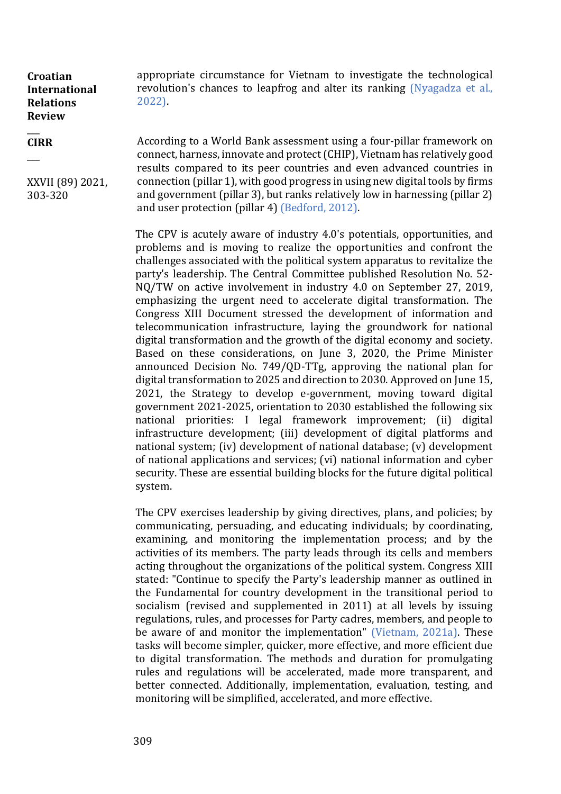#### $\overline{\phantom{a}}$ **CIRR**

 $\overline{\phantom{a}}$ 

XXVII (89) 2021, 303-320

appropriate circumstance for Vietnam to investigate the technological revolution's chances to leapfrog and alter its ranking (Nyagadza et al., 2022).

According to a World Bank assessment using a four-pillar framework on connect, harness, innovate and protect (CHIP), Vietnam has relatively good results compared to its peer countries and even advanced countries in connection (pillar 1), with good progress in using new digital tools by firms and government (pillar 3), but ranks relatively low in harnessing (pillar 2) and user protection (pillar 4) (Bedford, 2012).

The CPV is acutely aware of industry 4.0's potentials, opportunities, and problems and is moving to realize the opportunities and confront the challenges associated with the political system apparatus to revitalize the party's leadership. The Central Committee published Resolution No. 52- NQ/TW on active involvement in industry 4.0 on September 27, 2019, emphasizing the urgent need to accelerate digital transformation. The Congress XIII Document stressed the development of information and telecommunication infrastructure, laying the groundwork for national digital transformation and the growth of the digital economy and society. Based on these considerations, on June 3, 2020, the Prime Minister announced Decision No. 749/QD-TTg, approving the national plan for digital transformation to 2025 and direction to 2030. Approved on June 15, 2021, the Strategy to develop e-government, moving toward digital government 2021-2025, orientation to 2030 established the following six national priorities: I legal framework improvement; (ii) digital infrastructure development; (iii) development of digital platforms and national system; (iv) development of national database; (v) development of national applications and services; (vi) national information and cyber security. These are essential building blocks for the future digital political system.

The CPV exercises leadership by giving directives, plans, and policies; by communicating, persuading, and educating individuals; by coordinating, examining, and monitoring the implementation process; and by the activities of its members. The party leads through its cells and members acting throughout the organizations of the political system. Congress XIII stated: "Continue to specify the Party's leadership manner as outlined in the Fundamental for country development in the transitional period to socialism (revised and supplemented in 2011) at all levels by issuing regulations, rules, and processes for Party cadres, members, and people to be aware of and monitor the implementation" (Vietnam, 2021a). These tasks will become simpler, quicker, more effective, and more efficient due to digital transformation. The methods and duration for promulgating rules and regulations will be accelerated, made more transparent, and better connected. Additionally, implementation, evaluation, testing, and monitoring will be simplified, accelerated, and more effective.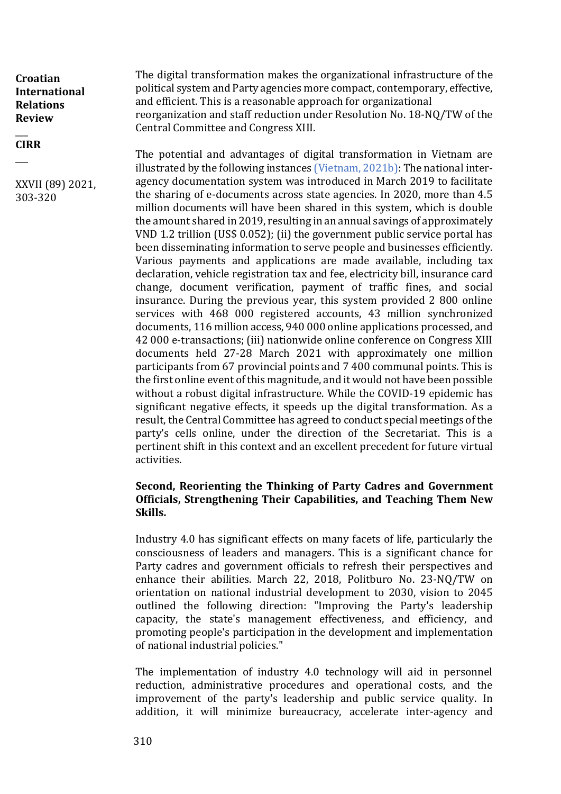#### $\overline{\phantom{a}}$ **CIRR**  $\overline{\phantom{a}}$

XXVII (89) 2021, 303-320

The digital transformation makes the organizational infrastructure of the political system and Party agencies more compact, contemporary, effective, and efficient. This is a reasonable approach for organizational reorganization and staff reduction under Resolution No. 18-NQ/TW of the Central Committee and Congress XIII.

The potential and advantages of digital transformation in Vietnam are illustrated by the following instances (Vietnam, 2021b): The national interagency documentation system was introduced in March 2019 to facilitate the sharing of e-documents across state agencies. In 2020, more than 4.5 million documents will have been shared in this system, which is double the amount shared in 2019, resulting in an annual savings of approximately VND 1.2 trillion (US\$ 0.052); (ii) the government public service portal has been disseminating information to serve people and businesses efficiently. Various payments and applications are made available, including tax declaration, vehicle registration tax and fee, electricity bill, insurance card change, document verification, payment of traffic fines, and social insurance. During the previous year, this system provided 2 800 online services with 468 000 registered accounts, 43 million synchronized documents, 116 million access, 940 000 online applications processed, and 42 000 e-transactions; (iii) nationwide online conference on Congress XIII documents held 27-28 March 2021 with approximately one million participants from 67 provincial points and 7 400 communal points. This is the first online event of this magnitude, and it would not have been possible without a robust digital infrastructure. While the COVID-19 epidemic has significant negative effects, it speeds up the digital transformation. As a result, the Central Committee has agreed to conduct special meetings of the party's cells online, under the direction of the Secretariat. This is a pertinent shift in this context and an excellent precedent for future virtual activities.

### **Second, Reorienting the Thinking of Party Cadres and Government Officials, Strengthening Their Capabilities, and Teaching Them New Skills.**

Industry 4.0 has significant effects on many facets of life, particularly the consciousness of leaders and managers. This is a significant chance for Party cadres and government officials to refresh their perspectives and enhance their abilities. March 22, 2018, Politburo No. 23-NQ/TW on orientation on national industrial development to 2030, vision to 2045 outlined the following direction: "Improving the Party's leadership capacity, the state's management effectiveness, and efficiency, and promoting people's participation in the development and implementation of national industrial policies."

The implementation of industry 4.0 technology will aid in personnel reduction, administrative procedures and operational costs, and the improvement of the party's leadership and public service quality. In addition, it will minimize bureaucracy, accelerate inter-agency and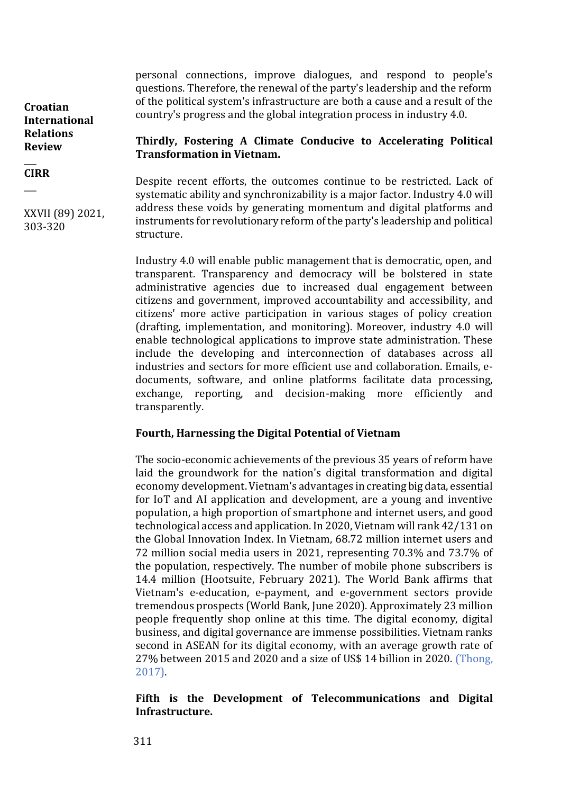personal connections, improve dialogues, and respond to people's questions. Therefore, the renewal of the party's leadership and the reform of the political system's infrastructure are both a cause and a result of the country's progress and the global integration process in industry 4.0.

#### **Croatian International Relations Review**   $\overline{\phantom{a}}$

#### **CIRR**  $\overline{\phantom{a}}$

XXVII (89) 2021, 303-320

## **Thirdly, Fostering A Climate Conducive to Accelerating Political Transformation in Vietnam.**

Despite recent efforts, the outcomes continue to be restricted. Lack of systematic ability and synchronizability is a major factor. Industry 4.0 will address these voids by generating momentum and digital platforms and instruments for revolutionary reform of the party's leadership and political structure.

Industry 4.0 will enable public management that is democratic, open, and transparent. Transparency and democracy will be bolstered in state administrative agencies due to increased dual engagement between citizens and government, improved accountability and accessibility, and citizens' more active participation in various stages of policy creation (drafting, implementation, and monitoring). Moreover, industry 4.0 will enable technological applications to improve state administration. These include the developing and interconnection of databases across all industries and sectors for more efficient use and collaboration. Emails, edocuments, software, and online platforms facilitate data processing, exchange, reporting, and decision-making more efficiently and transparently.

## **Fourth, Harnessing the Digital Potential of Vietnam**

The socio-economic achievements of the previous 35 years of reform have laid the groundwork for the nation's digital transformation and digital economy development. Vietnam's advantages in creating big data, essential for IoT and AI application and development, are a young and inventive population, a high proportion of smartphone and internet users, and good technological access and application. In 2020, Vietnam will rank 42/131 on the Global Innovation Index. In Vietnam, 68.72 million internet users and 72 million social media users in 2021, representing 70.3% and 73.7% of the population, respectively. The number of mobile phone subscribers is 14.4 million (Hootsuite, February 2021). The World Bank affirms that Vietnam's e-education, e-payment, and e-government sectors provide tremendous prospects (World Bank, June 2020). Approximately 23 million people frequently shop online at this time. The digital economy, digital business, and digital governance are immense possibilities. Vietnam ranks second in ASEAN for its digital economy, with an average growth rate of 27% between 2015 and 2020 and a size of US\$ 14 billion in 2020. (Thong, 2017).

**Fifth is the Development of Telecommunications and Digital Infrastructure.**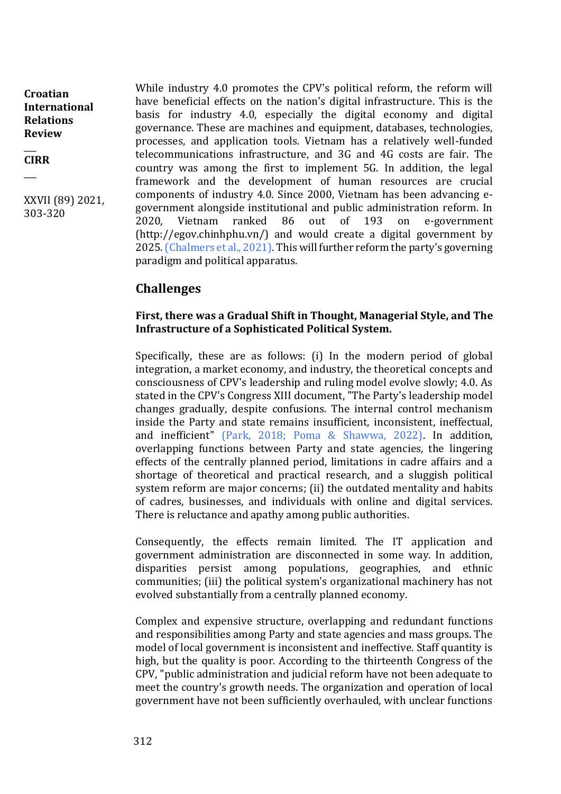$\overline{\phantom{a}}$ **CIRR**

 $\overline{\phantom{a}}$ 

XXVII (89) 2021, 303-320

While industry 4.0 promotes the CPV's political reform, the reform will have beneficial effects on the nation's digital infrastructure. This is the basis for industry 4.0, especially the digital economy and digital governance. These are machines and equipment, databases, technologies, processes, and application tools. Vietnam has a relatively well-funded telecommunications infrastructure, and 3G and 4G costs are fair. The country was among the first to implement 5G. In addition, the legal framework and the development of human resources are crucial components of industry 4.0. Since 2000, Vietnam has been advancing egovernment alongside institutional and public administration reform. In 2020, Vietnam ranked 86 out of 193 on e-government (http://egov.chinhphu.vn/) and would create a digital government by 2025. (Chalmers et al., 2021). This will further reform the party's governing paradigm and political apparatus.

# **Challenges**

#### **First, there was a Gradual Shift in Thought, Managerial Style, and The Infrastructure of a Sophisticated Political System.**

Specifically, these are as follows: (i) In the modern period of global integration, a market economy, and industry, the theoretical concepts and consciousness of CPV's leadership and ruling model evolve slowly; 4.0. As stated in the CPV's Congress XIII document, "The Party's leadership model changes gradually, despite confusions. The internal control mechanism inside the Party and state remains insufficient, inconsistent, ineffectual, and inefficient" (Park, 2018; Poma & Shawwa, 2022). In addition, overlapping functions between Party and state agencies, the lingering effects of the centrally planned period, limitations in cadre affairs and a shortage of theoretical and practical research, and a sluggish political system reform are major concerns; (ii) the outdated mentality and habits of cadres, businesses, and individuals with online and digital services. There is reluctance and apathy among public authorities.

Consequently, the effects remain limited. The IT application and government administration are disconnected in some way. In addition, disparities persist among populations, geographies, and ethnic communities; (iii) the political system's organizational machinery has not evolved substantially from a centrally planned economy.

Complex and expensive structure, overlapping and redundant functions and responsibilities among Party and state agencies and mass groups. The model of local government is inconsistent and ineffective. Staff quantity is high, but the quality is poor. According to the thirteenth Congress of the CPV, "public administration and judicial reform have not been adequate to meet the country's growth needs. The organization and operation of local government have not been sufficiently overhauled, with unclear functions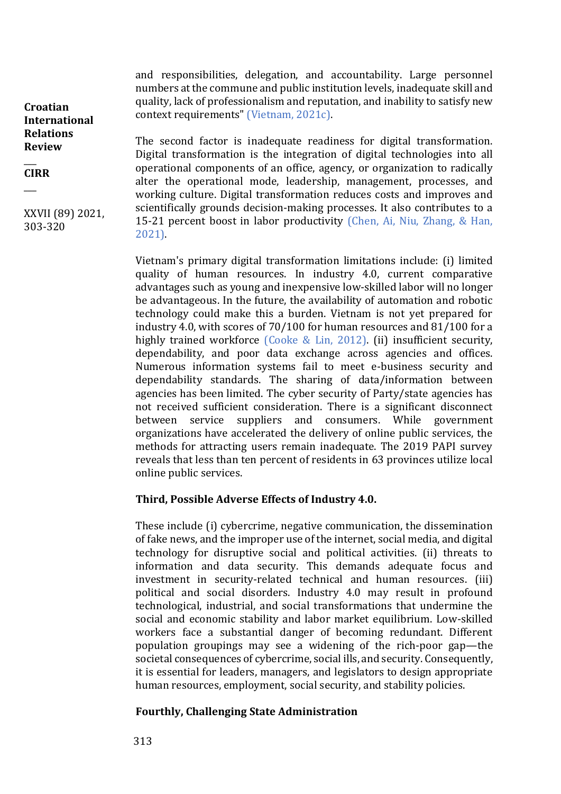and responsibilities, delegation, and accountability. Large personnel numbers at the commune and public institution levels, inadequate skill and quality, lack of professionalism and reputation, and inability to satisfy new context requirements" (Vietnam, 2021c).

**Croatian International Relations Review** 

 $\overline{\phantom{a}}$ **CIRR**  $\overline{\phantom{a}}$ 

XXVII (89) 2021, 303-320

The second factor is inadequate readiness for digital transformation. Digital transformation is the integration of digital technologies into all operational components of an office, agency, or organization to radically alter the operational mode, leadership, management, processes, and working culture. Digital transformation reduces costs and improves and scientifically grounds decision-making processes. It also contributes to a 15-21 percent boost in labor productivity (Chen, Ai, Niu, Zhang, & Han, 2021).

Vietnam's primary digital transformation limitations include: (i) limited quality of human resources. In industry 4.0, current comparative advantages such as young and inexpensive low-skilled labor will no longer be advantageous. In the future, the availability of automation and robotic technology could make this a burden. Vietnam is not yet prepared for industry 4.0, with scores of 70/100 for human resources and 81/100 for a highly trained workforce (Cooke & Lin, 2012). (ii) insufficient security, dependability, and poor data exchange across agencies and offices. Numerous information systems fail to meet e-business security and dependability standards. The sharing of data/information between agencies has been limited. The cyber security of Party/state agencies has not received sufficient consideration. There is a significant disconnect between service suppliers and consumers. While government organizations have accelerated the delivery of online public services, the methods for attracting users remain inadequate. The 2019 PAPI survey reveals that less than ten percent of residents in 63 provinces utilize local online public services.

#### **Third, Possible Adverse Effects of Industry 4.0.**

These include (i) cybercrime, negative communication, the dissemination of fake news, and the improper use of the internet, social media, and digital technology for disruptive social and political activities. (ii) threats to information and data security. This demands adequate focus and investment in security-related technical and human resources. (iii) political and social disorders. Industry 4.0 may result in profound technological, industrial, and social transformations that undermine the social and economic stability and labor market equilibrium. Low-skilled workers face a substantial danger of becoming redundant. Different population groupings may see a widening of the rich-poor gap—the societal consequences of cybercrime, social ills, and security. Consequently, it is essential for leaders, managers, and legislators to design appropriate human resources, employment, social security, and stability policies.

#### **Fourthly, Challenging State Administration**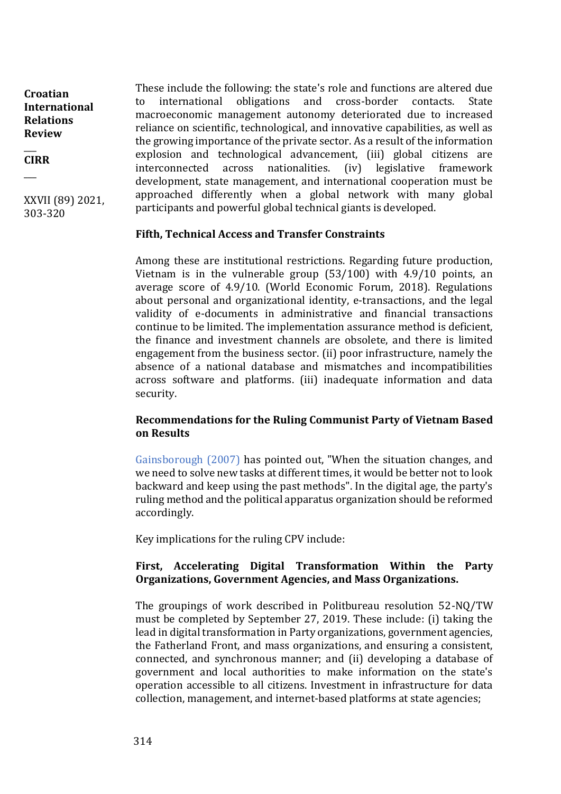$\overline{\phantom{a}}$ **CIRR**  $\overline{\phantom{a}}$ 

XXVII (89) 2021, 303-320

These include the following: the state's role and functions are altered due to international obligations and cross-border contacts. State macroeconomic management autonomy deteriorated due to increased reliance on scientific, technological, and innovative capabilities, as well as the growing importance of the private sector. As a result of the information explosion and technological advancement, (iii) global citizens are interconnected across nationalities. (iv) legislative framework development, state management, and international cooperation must be approached differently when a global network with many global participants and powerful global technical giants is developed.

#### **Fifth, Technical Access and Transfer Constraints**

Among these are institutional restrictions. Regarding future production, Vietnam is in the vulnerable group (53/100) with 4.9/10 points, an average score of 4.9/10. (World Economic Forum, 2018). Regulations about personal and organizational identity, e-transactions, and the legal validity of e-documents in administrative and financial transactions continue to be limited. The implementation assurance method is deficient, the finance and investment channels are obsolete, and there is limited engagement from the business sector. (ii) poor infrastructure, namely the absence of a national database and mismatches and incompatibilities across software and platforms. (iii) inadequate information and data security.

## **Recommendations for the Ruling Communist Party of Vietnam Based on Results**

Gainsborough (2007) has pointed out, "When the situation changes, and we need to solve new tasks at different times, it would be better not to look backward and keep using the past methods". In the digital age, the party's ruling method and the political apparatus organization should be reformed accordingly.

Key implications for the ruling CPV include:

## **First, Accelerating Digital Transformation Within the Party Organizations, Government Agencies, and Mass Organizations.**

The groupings of work described in Politbureau resolution 52-NQ/TW must be completed by September 27, 2019. These include: (i) taking the lead in digital transformation in Party organizations, government agencies, the Fatherland Front, and mass organizations, and ensuring a consistent, connected, and synchronous manner; and (ii) developing a database of government and local authorities to make information on the state's operation accessible to all citizens. Investment in infrastructure for data collection, management, and internet-based platforms at state agencies;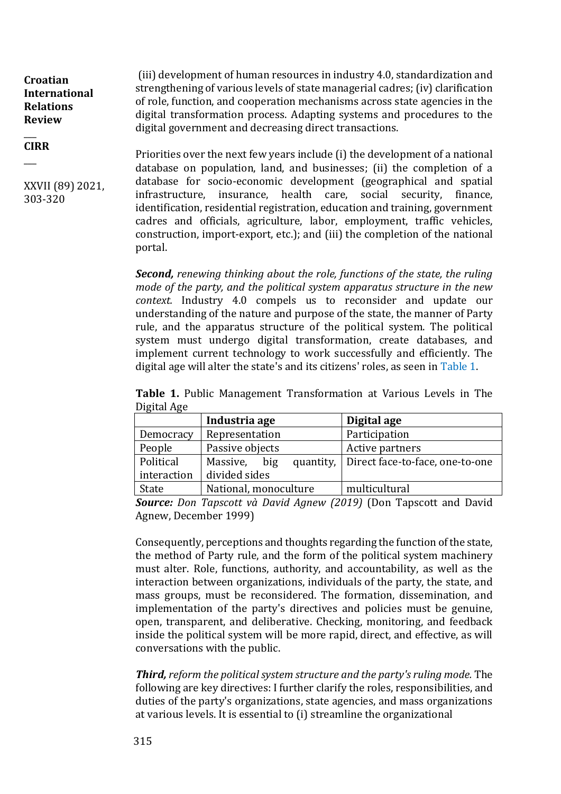$\overline{\phantom{a}}$ **CIRR**

\_\_\_

XXVII (89) 2021, 303-320

(iii) development of human resources in industry 4.0, standardization and strengthening of various levels of state managerial cadres; (iv) clarification of role, function, and cooperation mechanisms across state agencies in the digital transformation process. Adapting systems and procedures to the digital government and decreasing direct transactions.

Priorities over the next few years include (i) the development of a national database on population, land, and businesses; (ii) the completion of a database for socio-economic development (geographical and spatial infrastructure, insurance, health care, social security, finance, identification, residential registration, education and training, government cadres and officials, agriculture, labor, employment, traffic vehicles, construction, import-export, etc.); and (iii) the completion of the national portal.

*Second, renewing thinking about the role, functions of the state, the ruling mode of the party, and the political system apparatus structure in the new context.* Industry 4.0 compels us to reconsider and update our understanding of the nature and purpose of the state, the manner of Party rule, and the apparatus structure of the political system. The political system must undergo digital transformation, create databases, and implement current technology to work successfully and efficiently. The digital age will alter the state's and its citizens' roles, as seen in Table 1.

**Table 1.** Public Management Transformation at Various Levels in The Digital Age

|             | Industria age         | Digital age                               |  |  |
|-------------|-----------------------|-------------------------------------------|--|--|
| Democracy   | Representation        | Participation                             |  |  |
| People      | Passive objects       | Active partners                           |  |  |
| Political   | big<br>Massive,       | quantity, Direct face-to-face, one-to-one |  |  |
| interaction | divided sides         |                                           |  |  |
| State       | National, monoculture | multicultural                             |  |  |

*Source: Don Tapscott và David Agnew (2019)* (Don Tapscott and David Agnew, December 1999)

Consequently, perceptions and thoughts regarding the function of the state, the method of Party rule, and the form of the political system machinery must alter. Role, functions, authority, and accountability, as well as the interaction between organizations, individuals of the party, the state, and mass groups, must be reconsidered. The formation, dissemination, and implementation of the party's directives and policies must be genuine, open, transparent, and deliberative. Checking, monitoring, and feedback inside the political system will be more rapid, direct, and effective, as will conversations with the public.

*Third, reform the political system structure and the party's ruling mode.* The following are key directives: I further clarify the roles, responsibilities, and duties of the party's organizations, state agencies, and mass organizations at various levels. It is essential to (i) streamline the organizational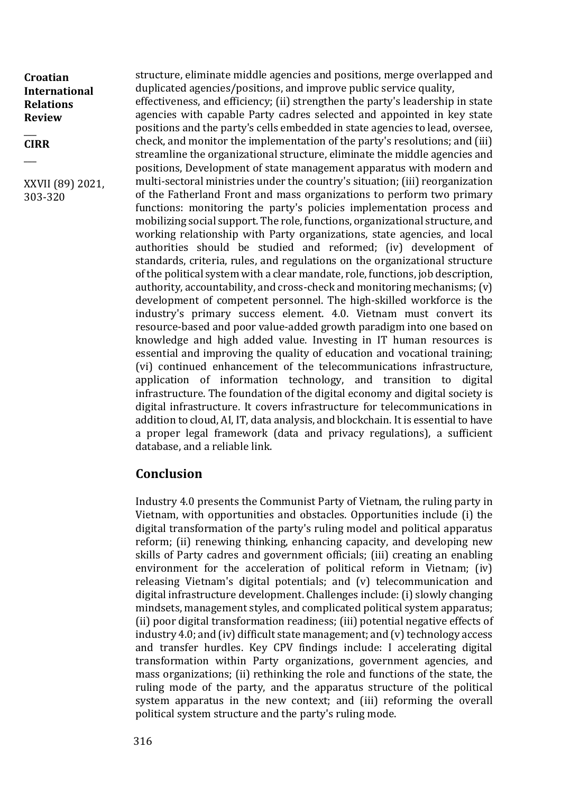$\overline{\phantom{a}}$ **CIRR**  $\overline{\phantom{a}}$ 

XXVII (89) 2021, 303-320

structure, eliminate middle agencies and positions, merge overlapped and duplicated agencies/positions, and improve public service quality,

effectiveness, and efficiency; (ii) strengthen the party's leadership in state agencies with capable Party cadres selected and appointed in key state positions and the party's cells embedded in state agencies to lead, oversee, check, and monitor the implementation of the party's resolutions; and (iii) streamline the organizational structure, eliminate the middle agencies and positions, Development of state management apparatus with modern and multi-sectoral ministries under the country's situation; (iii) reorganization of the Fatherland Front and mass organizations to perform two primary functions: monitoring the party's policies implementation process and mobilizing social support. The role, functions, organizational structure, and working relationship with Party organizations, state agencies, and local authorities should be studied and reformed; (iv) development of standards, criteria, rules, and regulations on the organizational structure of the political system with a clear mandate, role, functions, job description, authority, accountability, and cross-check and monitoring mechanisms; (v) development of competent personnel. The high-skilled workforce is the industry's primary success element. 4.0. Vietnam must convert its resource-based and poor value-added growth paradigm into one based on knowledge and high added value. Investing in IT human resources is essential and improving the quality of education and vocational training; (vi) continued enhancement of the telecommunications infrastructure, application of information technology, and transition to digital infrastructure. The foundation of the digital economy and digital society is digital infrastructure. It covers infrastructure for telecommunications in addition to cloud, AI, IT, data analysis, and blockchain. It is essential to have a proper legal framework (data and privacy regulations), a sufficient database, and a reliable link.

## **Conclusion**

Industry 4.0 presents the Communist Party of Vietnam, the ruling party in Vietnam, with opportunities and obstacles. Opportunities include (i) the digital transformation of the party's ruling model and political apparatus reform; (ii) renewing thinking, enhancing capacity, and developing new skills of Party cadres and government officials; (iii) creating an enabling environment for the acceleration of political reform in Vietnam; (iv) releasing Vietnam's digital potentials; and (v) telecommunication and digital infrastructure development. Challenges include: (i) slowly changing mindsets, management styles, and complicated political system apparatus; (ii) poor digital transformation readiness; (iii) potential negative effects of industry 4.0; and (iv) difficult state management; and (v) technology access and transfer hurdles. Key CPV findings include: I accelerating digital transformation within Party organizations, government agencies, and mass organizations; (ii) rethinking the role and functions of the state, the ruling mode of the party, and the apparatus structure of the political system apparatus in the new context; and (iii) reforming the overall political system structure and the party's ruling mode.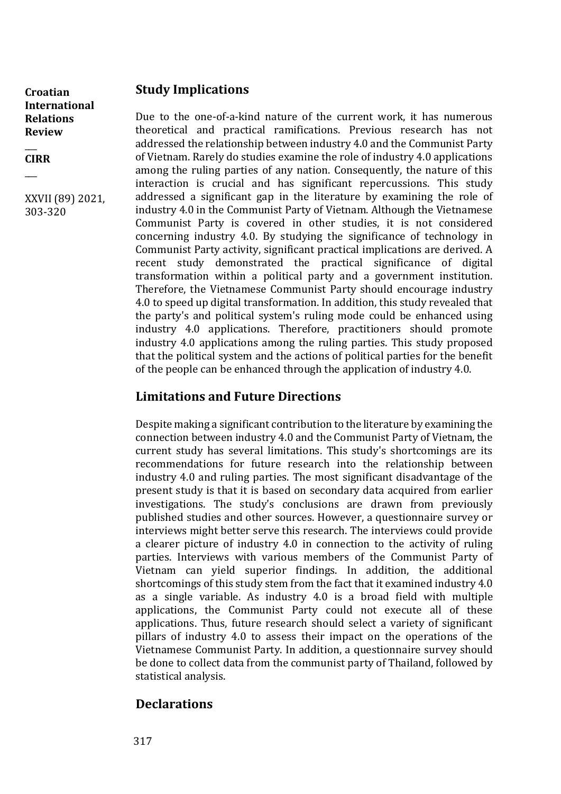$\overline{\phantom{a}}$ **CIRR**  $\overline{\phantom{a}}$ 

XXVII (89) 2021, 303-320

## **Study Implications**

Due to the one-of-a-kind nature of the current work, it has numerous theoretical and practical ramifications. Previous research has not addressed the relationship between industry 4.0 and the Communist Party of Vietnam. Rarely do studies examine the role of industry 4.0 applications among the ruling parties of any nation. Consequently, the nature of this interaction is crucial and has significant repercussions. This study addressed a significant gap in the literature by examining the role of industry 4.0 in the Communist Party of Vietnam. Although the Vietnamese Communist Party is covered in other studies, it is not considered concerning industry 4.0. By studying the significance of technology in Communist Party activity, significant practical implications are derived. A recent study demonstrated the practical significance of digital transformation within a political party and a government institution. Therefore, the Vietnamese Communist Party should encourage industry 4.0 to speed up digital transformation. In addition, this study revealed that the party's and political system's ruling mode could be enhanced using industry 4.0 applications. Therefore, practitioners should promote industry 4.0 applications among the ruling parties. This study proposed that the political system and the actions of political parties for the benefit of the people can be enhanced through the application of industry 4.0.

# **Limitations and Future Directions**

Despite making a significant contribution to the literature by examining the connection between industry 4.0 and the Communist Party of Vietnam, the current study has several limitations. This study's shortcomings are its recommendations for future research into the relationship between industry 4.0 and ruling parties. The most significant disadvantage of the present study is that it is based on secondary data acquired from earlier investigations. The study's conclusions are drawn from previously published studies and other sources. However, a questionnaire survey or interviews might better serve this research. The interviews could provide a clearer picture of industry 4.0 in connection to the activity of ruling parties. Interviews with various members of the Communist Party of Vietnam can yield superior findings. In addition, the additional shortcomings of this study stem from the fact that it examined industry 4.0 as a single variable. As industry 4.0 is a broad field with multiple applications, the Communist Party could not execute all of these applications. Thus, future research should select a variety of significant pillars of industry 4.0 to assess their impact on the operations of the Vietnamese Communist Party. In addition, a questionnaire survey should be done to collect data from the communist party of Thailand, followed by statistical analysis.

# **Declarations**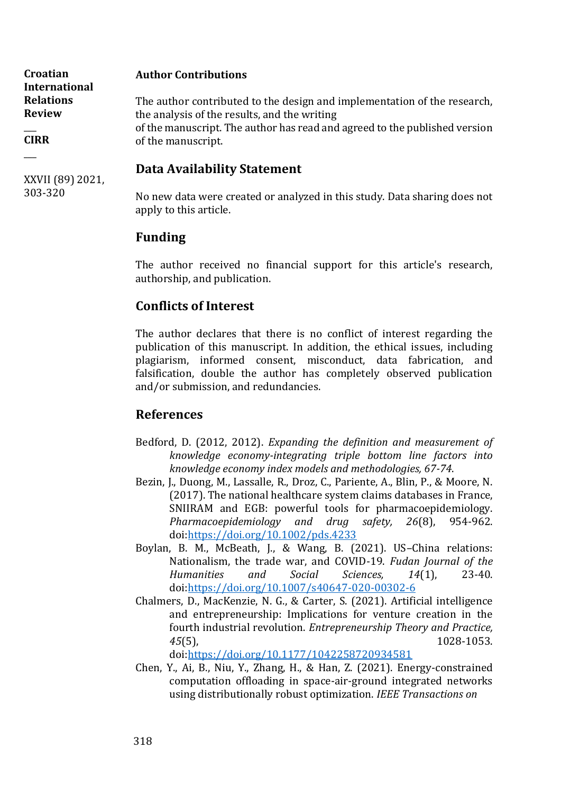| Croatian<br><b>International</b>  | <b>Author Contributions</b>                                                                                              |
|-----------------------------------|--------------------------------------------------------------------------------------------------------------------------|
| <b>Relations</b><br><b>Review</b> | The author contributed to the design and implementation of the research,<br>the analysis of the results, and the writing |
| <b>CIRR</b>                       | of the manuscript. The author has read and agreed to the published version<br>of the manuscript.                         |
|                                   | Data Ayailahility Ctatamant                                                                                              |

## **Data Availability Statement**

No new data were created or analyzed in this study. Data sharing does not apply to this article.

# **Funding**

XXVII (89) 2021,

303-320

The author received no financial support for this article's research, authorship, and publication.

# **Conflicts of Interest**

The author declares that there is no conflict of interest regarding the publication of this manuscript. In addition, the ethical issues, including plagiarism, informed consent, misconduct, data fabrication, and falsification, double the author has completely observed publication and/or submission, and redundancies.

# **References**

- Bedford, D. (2012, 2012). *Expanding the definition and measurement of knowledge economy-integrating triple bottom line factors into knowledge economy index models and methodologies, 67-74*.
- Bezin, J., Duong, M., Lassalle, R., Droz, C., Pariente, A., Blin, P., & Moore, N. (2017). The national healthcare system claims databases in France, SNIIRAM and EGB: powerful tools for pharmacoepidemiology. *Pharmacoepidemiology and drug safety, 26*(8), 954-962. doi[:https://doi.org/10.1002/pds.4233](https://doi.org/10.1002/pds.4233)
- Boylan, B. M., McBeath, J., & Wang, B. (2021). US–China relations: Nationalism, the trade war, and COVID-19. *Fudan Journal of the Humanities and Social Sciences, 14*(1), 23-40. doi[:https://doi.org/10.1007/s40647-020-00302-6](https://doi.org/10.1007/s40647-020-00302-6)
- Chalmers, D., MacKenzie, N. G., & Carter, S. (2021). Artificial intelligence and entrepreneurship: Implications for venture creation in the fourth industrial revolution. *Entrepreneurship Theory and Practice, 45*(5), 1028-1053.

doi[:https://doi.org/10.1177/1042258720934581](https://doi.org/10.1177/1042258720934581)

Chen, Y., Ai, B., Niu, Y., Zhang, H., & Han, Z. (2021). Energy-constrained computation offloading in space-air-ground integrated networks using distributionally robust optimization. *IEEE Transactions on*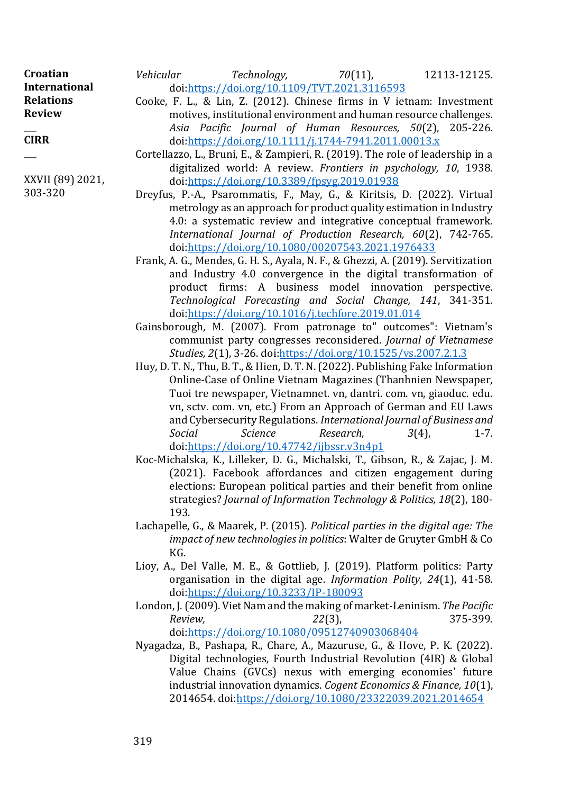| Croatian             | Vehicular                                            |                                                                                | $Technology,$ $70(11),$ |  |  | 12113-12125. |  |  |
|----------------------|------------------------------------------------------|--------------------------------------------------------------------------------|-------------------------|--|--|--------------|--|--|
| <b>International</b> | doi:https://doi.org/10.1109/TVT.2021.3116593         |                                                                                |                         |  |  |              |  |  |
| <b>Relations</b>     |                                                      | Cooke, F. L., & Lin, Z. (2012). Chinese firms in V ietnam: Investment          |                         |  |  |              |  |  |
| <b>Review</b>        |                                                      | motives, institutional environment and human resource challenges.              |                         |  |  |              |  |  |
|                      |                                                      | Asia Pacific Journal of Human Resources, 50(2), 205-226.                       |                         |  |  |              |  |  |
| <b>CIRR</b>          | doi:https://doi.org/10.1111/j.1744-7941.2011.00013.x |                                                                                |                         |  |  |              |  |  |
|                      |                                                      | Cortellazzo, L., Bruni, E., & Zampieri, R. (2019). The role of leadership in a |                         |  |  |              |  |  |

- digitalized world: A review. *Frontiers in psychology, 10*, 1938. doi[:https://doi.org/10.3389/fpsyg.2019.01938](https://doi.org/10.3389/fpsyg.2019.01938)
- Dreyfus, P.-A., Psarommatis, F., May, G., & Kiritsis, D. (2022). Virtual metrology as an approach for product quality estimation in Industry 4.0: a systematic review and integrative conceptual framework. *International Journal of Production Research, 60*(2), 742-765. doi[:https://doi.org/10.1080/00207543.2021.1976433](https://doi.org/10.1080/00207543.2021.1976433)
- Frank, A. G., Mendes, G. H. S., Ayala, N. F., & Ghezzi, A. (2019). Servitization and Industry 4.0 convergence in the digital transformation of product firms: A business model innovation perspective. *Technological Forecasting and Social Change, 141*, 341-351. doi[:https://doi.org/10.1016/j.techfore.2019.01.014](https://doi.org/10.1016/j.techfore.2019.01.014)
- Gainsborough, M. (2007). From patronage to" outcomes": Vietnam's communist party congresses reconsidered. *Journal of Vietnamese Studies, 2*(1), 3-26. doi[:https://doi.org/10.1525/vs.2007.2.1.3](https://doi.org/10.1525/vs.2007.2.1.3)
- Huy, D. T. N., Thu, B. T., & Hien, D. T. N. (2022). Publishing Fake Information Online-Case of Online Vietnam Magazines (Thanhnien Newspaper, Tuoi tre newspaper, Vietnamnet. vn, dantri. com. vn, giaoduc. edu. vn, sctv. com. vn, etc.) From an Approach of German and EU Laws and Cybersecurity Regulations. *International Journal of Business and Social Science Research,* 3(4), 1-7. doi[:https://doi.org/10.47742/ijbssr.v3n4p1](https://doi.org/10.47742/ijbssr.v3n4p1)
- Koc-Michalska, K., Lilleker, D. G., Michalski, T., Gibson, R., & Zajac, J. M. (2021). Facebook affordances and citizen engagement during elections: European political parties and their benefit from online strategies? *Journal of Information Technology & Politics, 18*(2), 180- 193.
- Lachapelle, G., & Maarek, P. (2015). *Political parties in the digital age: The impact of new technologies in politics*: Walter de Gruyter GmbH & Co KG.
- Lioy, A., Del Valle, M. E., & Gottlieb, J. (2019). Platform politics: Party organisation in the digital age. *Information Polity, 24*(1), 41-58. doi[:https://doi.org/10.3233/IP-180093](https://doi.org/10.3233/IP-180093)
- London, J. (2009). Viet Nam and the making of market-Leninism. *The Pacific Review, 22*(3), 375-399. doi[:https://doi.org/10.1080/09512740903068404](https://doi.org/10.1080/09512740903068404)
- Nyagadza, B., Pashapa, R., Chare, A., Mazuruse, G., & Hove, P. K. (2022). Digital technologies, Fourth Industrial Revolution (4IR) & Global Value Chains (GVCs) nexus with emerging economies' future industrial innovation dynamics. *Cogent Economics & Finance, 10*(1), 2014654. doi[:https://doi.org/10.1080/23322039.2021.2014654](https://doi.org/10.1080/23322039.2021.2014654)

XXVII (89) 2021,

303-320